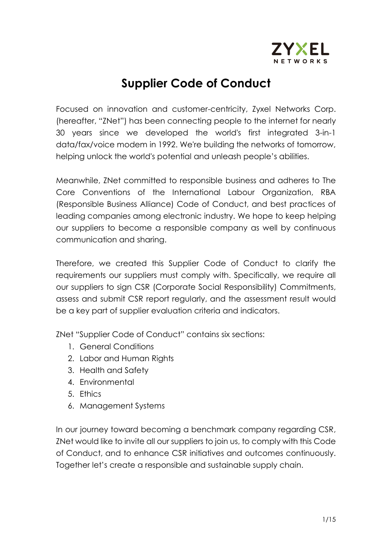

# **Supplier Code of Conduct**

Focused on innovation and customer-centricity, Zyxel Networks Corp. (hereafter, "ZNet") has been connecting people to the internet for nearly 30 years since we developed the world's first integrated 3-in-1 data/fax/voice modem in 1992. We're building the networks of tomorrow, helping unlock the world's potential and unleash people's abilities.

Meanwhile, ZNet committed to responsible business and adheres to The Core Conventions of the International Labour Organization, RBA (Responsible Business Alliance) Code of Conduct, and best practices of leading companies among electronic industry. We hope to keep helping our suppliers to become a responsible company as well by continuous communication and sharing.

Therefore, we created this Supplier Code of Conduct to clarify the requirements our suppliers must comply with. Specifically, we require all our suppliers to sign CSR (Corporate Social Responsibility) Commitments, assess and submit CSR report regularly, and the assessment result would be a key part of supplier evaluation criteria and indicators.

ZNet "Supplier Code of Conduct" contains six sections:

- 1. General Conditions
- 2. Labor and Human Rights
- 3. Health and Safety
- 4. Environmental
- 5. Ethics
- 6. Management Systems

In our journey toward becoming a benchmark company regarding CSR, ZNet would like to invite all our suppliers to join us, to comply with this Code of Conduct, and to enhance CSR initiatives and outcomes continuously. Together let's create a responsible and sustainable supply chain.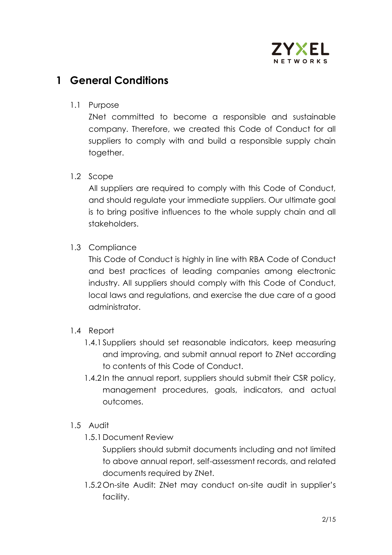

### **1 General Conditions**

#### 1.1 Purpose

ZNet committed to become a responsible and sustainable company. Therefore, we created this Code of Conduct for all suppliers to comply with and build a responsible supply chain together.

#### 1.2 Scope

All suppliers are required to comply with this Code of Conduct, and should regulate your immediate suppliers. Our ultimate goal is to bring positive influences to the whole supply chain and all stakeholders.

### 1.3 Compliance

This Code of Conduct is highly in line with RBA Code of Conduct and best practices of leading companies among electronic industry. All suppliers should comply with this Code of Conduct, local laws and regulations, and exercise the due care of a good administrator.

### 1.4 Report

- 1.4.1 Suppliers should set reasonable indicators, keep measuring and improving, and submit annual report to ZNet according to contents of this Code of Conduct.
- 1.4.2 In the annual report, suppliers should submit their CSR policy, management procedures, goals, indicators, and actual outcomes.

#### 1.5 Audit

1.5.1Document Review

Suppliers should submit documents including and not limited to above annual report, self-assessment records, and related documents required by ZNet.

1.5.2 On-site Audit: ZNet may conduct on-site audit in supplier's facility.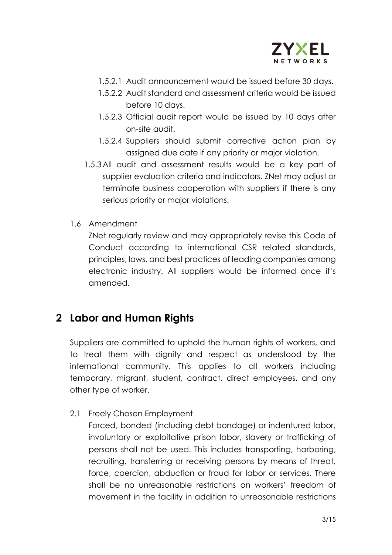

- 1.5.2.1 Audit announcement would be issued before 30 days.
- 1.5.2.2 Audit standard and assessment criteria would be issued before 10 days.
- 1.5.2.3 Official audit report would be issued by 10 days after on-site audit.
- 1.5.2.4 Suppliers should submit corrective action plan by assigned due date if any priority or major violation.
- 1.5.3 All audit and assessment results would be a key part of supplier evaluation criteria and indicators. ZNet may adjust or terminate business cooperation with suppliers if there is any serious priority or major violations.
- 1.6 Amendment

ZNet regularly review and may appropriately revise this Code of Conduct according to international CSR related standards, principles, laws, and best practices of leading companies among electronic industry. All suppliers would be informed once it's amended.

## **2 Labor and Human Rights**

Suppliers are committed to uphold the human rights of workers, and to treat them with dignity and respect as understood by the international community. This applies to all workers including temporary, migrant, student, contract, direct employees, and any other type of worker.

2.1 Freely Chosen Employment

Forced, bonded (including debt bondage) or indentured labor, involuntary or exploitative prison labor, slavery or trafficking of persons shall not be used. This includes transporting, harboring, recruiting, transferring or receiving persons by means of threat, force, coercion, abduction or fraud for labor or services. There shall be no unreasonable restrictions on workers' freedom of movement in the facility in addition to unreasonable restrictions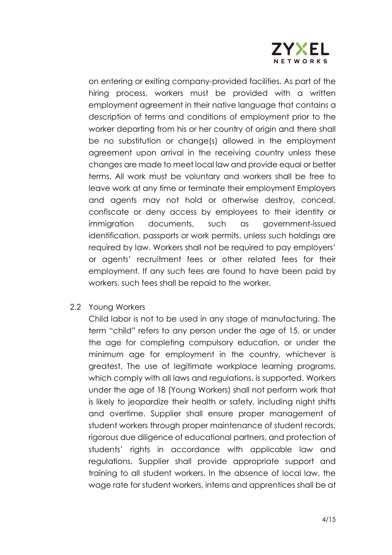

on entering or exiting company-provided facilities. As part of the hiring process, workers must be provided with a written employment agreement in their native language that contains a description of terms and conditions of employment prior to the worker departing from his or her country of origin and there shall be no substitution or change(s) allowed in the employment agreement upon arrival in the receiving country unless these changes are made to meet local law and provide equal or better terms. All work must be voluntary and workers shall be free to leave work at any time or terminate their employment Employers and agents may not hold or otherwise destroy, conceal, confiscate or deny access by employees to their identity or immigration documents, such as government-issued identification, passports or work permits, unless such holdings are required by law. Workers shall not be required to pay employers' or agents' recruitment fees or other related fees for their employment. If any such fees are found to have been paid by workers, such fees shall be repaid to the worker.

#### 2.2 Young Workers

Child labor is not to be used in any stage of manufacturing. The term "child" refers to any person under the age of 15, or under the age for completing compulsory education, or under the minimum age for employment in the country, whichever is greatest. The use of legitimate workplace learning programs, which comply with all laws and regulations, is supported. Workers under the age of 18 (Young Workers) shall not perform work that is likely to jeopardize their health or safety, including night shifts and overtime. Supplier shall ensure proper management of student workers through proper maintenance of student records, rigorous due diligence of educational partners, and protection of students' rights in accordance with applicable law and regulations. Supplier shall provide appropriate support and training to all student workers. In the absence of local law, the wage rate for student workers, interns and apprentices shall be at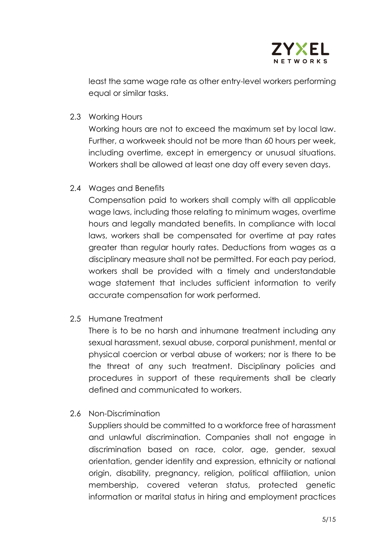

least the same wage rate as other entry-level workers performing equal or similar tasks.

2.3 Working Hours

Working hours are not to exceed the maximum set by local law. Further, a workweek should not be more than 60 hours per week, including overtime, except in emergency or unusual situations. Workers shall be allowed at least one day off every seven days.

2.4 Wages and Benefits

Compensation paid to workers shall comply with all applicable wage laws, including those relating to minimum wages, overtime hours and legally mandated benefits. In compliance with local laws, workers shall be compensated for overtime at pay rates greater than regular hourly rates. Deductions from wages as a disciplinary measure shall not be permitted. For each pay period, workers shall be provided with a timely and understandable wage statement that includes sufficient information to verify accurate compensation for work performed.

2.5 Humane Treatment

There is to be no harsh and inhumane treatment including any sexual harassment, sexual abuse, corporal punishment, mental or physical coercion or verbal abuse of workers; nor is there to be the threat of any such treatment. Disciplinary policies and procedures in support of these requirements shall be clearly defined and communicated to workers.

2.6 Non-Discrimination

Suppliers should be committed to a workforce free of harassment and unlawful discrimination. Companies shall not engage in discrimination based on race, color, age, gender, sexual orientation, gender identity and expression, ethnicity or national origin, disability, pregnancy, religion, political affiliation, union membership, covered veteran status, protected genetic information or marital status in hiring and employment practices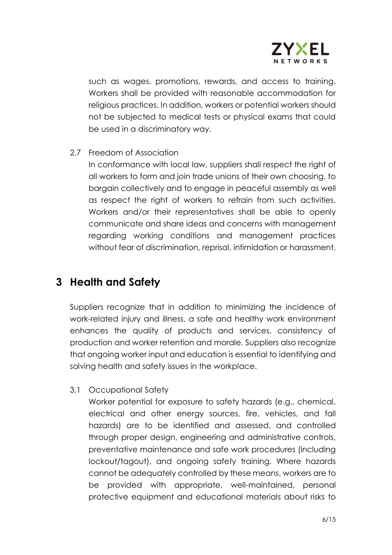

such as wages, promotions, rewards, and access to training. Workers shall be provided with reasonable accommodation for religious practices. In addition, workers or potential workers should not be subjected to medical tests or physical exams that could be used in a discriminatory way.

2.7 Freedom of Association

In conformance with local law, suppliers shall respect the right of all workers to form and join trade unions of their own choosing, to bargain collectively and to engage in peaceful assembly as well as respect the right of workers to refrain from such activities. Workers and/or their representatives shall be able to openly communicate and share ideas and concerns with management regarding working conditions and management practices without fear of discrimination, reprisal, intimidation or harassment.

### **3 Health and Safety**

Suppliers recognize that in addition to minimizing the incidence of work-related injury and illness, a safe and healthy work environment enhances the quality of products and services, consistency of production and worker retention and morale. Suppliers also recognize that ongoing worker input and education is essential to identifying and solving health and safety issues in the workplace.

3.1 Occupational Safety

Worker potential for exposure to safety hazards (e.g., chemical, electrical and other energy sources, fire, vehicles, and fall hazards) are to be identified and assessed, and controlled through proper design, engineering and administrative controls, preventative maintenance and safe work procedures (including lockout/tagout), and ongoing safety training. Where hazards cannot be adequately controlled by these means, workers are to be provided with appropriate, well-maintained, personal protective equipment and educational materials about risks to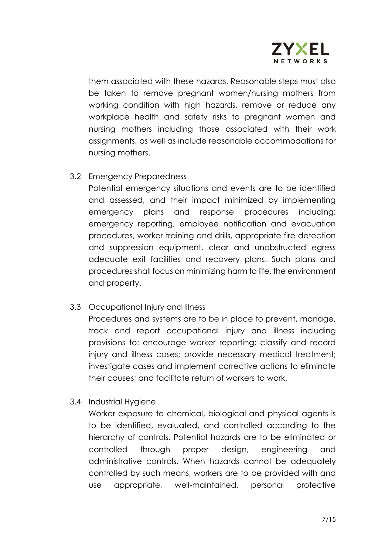

them associated with these hazards. Reasonable steps must also be taken to remove pregnant women/nursing mothers from working condition with high hazards, remove or reduce any workplace health and safety risks to pregnant women and nursing mothers including those associated with their work assignments, as well as include reasonable accommodations for nursing mothers.

3.2 Emergency Preparedness

Potential emergency situations and events are to be identified and assessed, and their impact minimized by implementing emergency plans and response procedures including: emergency reporting, employee notification and evacuation procedures, worker training and drills, appropriate fire detection and suppression equipment, clear and unobstructed egress adequate exit facilities and recovery plans. Such plans and procedures shall focus on minimizing harm to life, the environment and property.

3.3 Occupational Injury and Illness

Procedures and systems are to be in place to prevent, manage, track and report occupational injury and illness including provisions to: encourage worker reporting; classify and record injury and illness cases; provide necessary medical treatment; investigate cases and implement corrective actions to eliminate their causes; and facilitate return of workers to work.

3.4 Industrial Hygiene

Worker exposure to chemical, biological and physical agents is to be identified, evaluated, and controlled according to the hierarchy of controls. Potential hazards are to be eliminated or controlled through proper design, engineering and administrative controls. When hazards cannot be adequately controlled by such means, workers are to be provided with and use appropriate, well-maintained, personal protective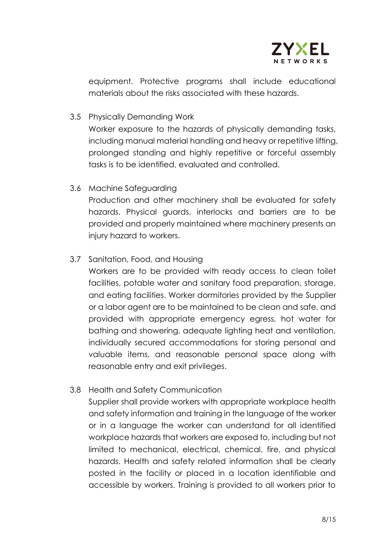

equipment. Protective programs shall include educational materials about the risks associated with these hazards.

3.5 Physically Demanding Work

Worker exposure to the hazards of physically demanding tasks, including manual material handling and heavy or repetitive lifting, prolonged standing and highly repetitive or forceful assembly tasks is to be identified, evaluated and controlled.

3.6 Machine Safeguarding

Production and other machinery shall be evaluated for safety hazards. Physical guards, interlocks and barriers are to be provided and properly maintained where machinery presents an injury hazard to workers.

3.7 Sanitation, Food, and Housing

Workers are to be provided with ready access to clean toilet facilities, potable water and sanitary food preparation, storage, and eating facilities. Worker dormitories provided by the Supplier or a labor agent are to be maintained to be clean and safe, and provided with appropriate emergency egress, hot water for bathing and showering, adequate lighting heat and ventilation, individually secured accommodations for storing personal and valuable items, and reasonable personal space along with reasonable entry and exit privileges.

3.8 Health and Safety Communication

Supplier shall provide workers with appropriate workplace health and safety information and training in the language of the worker or in a language the worker can understand for all identified workplace hazards that workers are exposed to, including but not limited to mechanical, electrical, chemical, fire, and physical hazards. Health and safety related information shall be clearly posted in the facility or placed in a location identifiable and accessible by workers. Training is provided to all workers prior to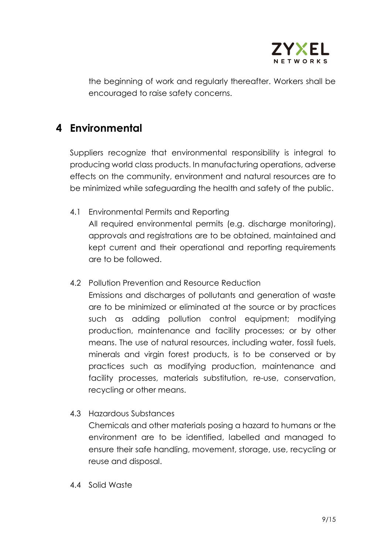

the beginning of work and regularly thereafter. Workers shall be encouraged to raise safety concerns.

### **4 Environmental**

Suppliers recognize that environmental responsibility is integral to producing world class products. In manufacturing operations, adverse effects on the community, environment and natural resources are to be minimized while safeguarding the health and safety of the public.

4.1 Environmental Permits and Reporting

All required environmental permits (e.g. discharge monitoring), approvals and registrations are to be obtained, maintained and kept current and their operational and reporting requirements are to be followed.

4.2 Pollution Prevention and Resource Reduction

Emissions and discharges of pollutants and generation of waste are to be minimized or eliminated at the source or by practices such as adding pollution control equipment; modifying production, maintenance and facility processes; or by other means. The use of natural resources, including water, fossil fuels, minerals and virgin forest products, is to be conserved or by practices such as modifying production, maintenance and facility processes, materials substitution, re-use, conservation, recycling or other means.

4.3 Hazardous Substances

Chemicals and other materials posing a hazard to humans or the environment are to be identified, labelled and managed to ensure their safe handling, movement, storage, use, recycling or reuse and disposal.

4.4 Solid Waste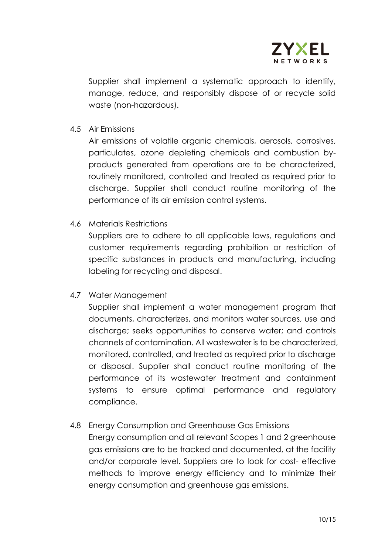

Supplier shall implement a systematic approach to identify, manage, reduce, and responsibly dispose of or recycle solid waste (non-hazardous).

4.5 Air Emissions

Air emissions of volatile organic chemicals, aerosols, corrosives, particulates, ozone depleting chemicals and combustion byproducts generated from operations are to be characterized, routinely monitored, controlled and treated as required prior to discharge. Supplier shall conduct routine monitoring of the performance of its air emission control systems.

4.6 Materials Restrictions

Suppliers are to adhere to all applicable laws, regulations and customer requirements regarding prohibition or restriction of specific substances in products and manufacturing, including labeling for recycling and disposal.

4.7 Water Management

Supplier shall implement a water management program that documents, characterizes, and monitors water sources, use and discharge; seeks opportunities to conserve water; and controls channels of contamination. All wastewater is to be characterized, monitored, controlled, and treated as required prior to discharge or disposal. Supplier shall conduct routine monitoring of the performance of its wastewater treatment and containment systems to ensure optimal performance and regulatory compliance.

4.8 Energy Consumption and Greenhouse Gas Emissions

Energy consumption and all relevant Scopes 1 and 2 greenhouse gas emissions are to be tracked and documented, at the facility and/or corporate level. Suppliers are to look for cost- effective methods to improve energy efficiency and to minimize their energy consumption and greenhouse gas emissions.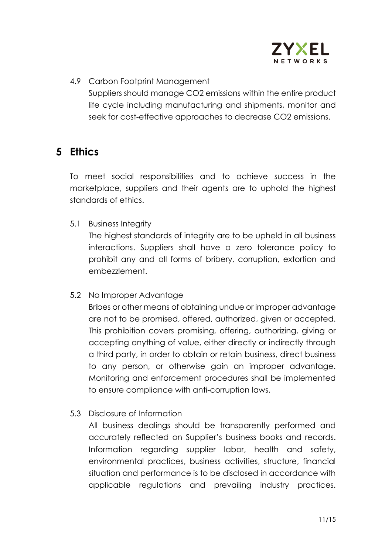

4.9 Carbon Footprint Management Suppliers should manage CO2 emissions within the entire product life cycle including manufacturing and shipments, monitor and seek for cost-effective approaches to decrease CO2 emissions.

### **5 Ethics**

To meet social responsibilities and to achieve success in the marketplace, suppliers and their agents are to uphold the highest standards of ethics.

5.1 Business Integrity

The highest standards of integrity are to be upheld in all business interactions. Suppliers shall have a zero tolerance policy to prohibit any and all forms of bribery, corruption, extortion and embezzlement.

5.2 No Improper Advantage

Bribes or other means of obtaining undue or improper advantage are not to be promised, offered, authorized, given or accepted. This prohibition covers promising, offering, authorizing, giving or accepting anything of value, either directly or indirectly through a third party, in order to obtain or retain business, direct business to any person, or otherwise gain an improper advantage. Monitoring and enforcement procedures shall be implemented to ensure compliance with anti-corruption laws.

5.3 Disclosure of Information

All business dealings should be transparently performed and accurately reflected on Supplier's business books and records. Information regarding supplier labor, health and safety, environmental practices, business activities, structure, financial situation and performance is to be disclosed in accordance with applicable regulations and prevailing industry practices.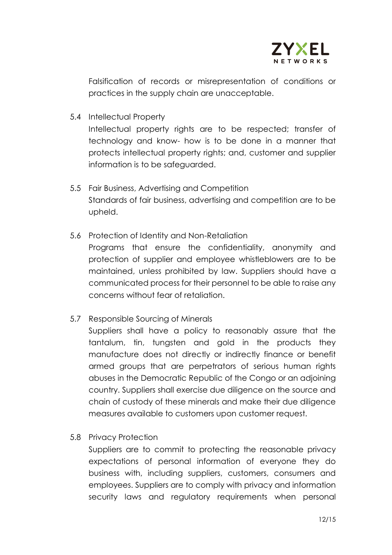

Falsification of records or misrepresentation of conditions or practices in the supply chain are unacceptable.

5.4 Intellectual Property

Intellectual property rights are to be respected; transfer of technology and know- how is to be done in a manner that protects intellectual property rights; and, customer and supplier information is to be safeguarded.

- 5.5 Fair Business, Advertising and Competition Standards of fair business, advertising and competition are to be upheld.
- 5.6 Protection of Identity and Non-Retaliation Programs that ensure the confidentiality, anonymity and protection of supplier and employee whistleblowers are to be maintained, unless prohibited by law. Suppliers should have a communicated process for their personnel to be able to raise any concerns without fear of retaliation.
- 5.7 Responsible Sourcing of Minerals

Suppliers shall have a policy to reasonably assure that the tantalum, tin, tungsten and gold in the products they manufacture does not directly or indirectly finance or benefit armed groups that are perpetrators of serious human rights abuses in the Democratic Republic of the Congo or an adjoining country. Suppliers shall exercise due diligence on the source and chain of custody of these minerals and make their due diligence measures available to customers upon customer request.

5.8 Privacy Protection

Suppliers are to commit to protecting the reasonable privacy expectations of personal information of everyone they do business with, including suppliers, customers, consumers and employees. Suppliers are to comply with privacy and information security laws and regulatory requirements when personal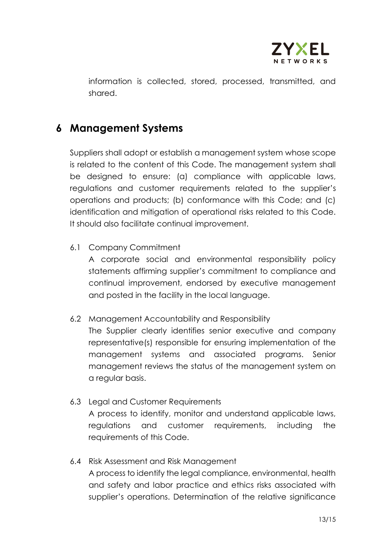

information is collected, stored, processed, transmitted, and shared.

### **6 Management Systems**

Suppliers shall adopt or establish a management system whose scope is related to the content of this Code. The management system shall be designed to ensure: (a) compliance with applicable laws, regulations and customer requirements related to the supplier's operations and products; (b) conformance with this Code; and (c) identification and mitigation of operational risks related to this Code. It should also facilitate continual improvement.

6.1 Company Commitment

A corporate social and environmental responsibility policy statements affirming supplier's commitment to compliance and continual improvement, endorsed by executive management and posted in the facility in the local language.

6.2 Management Accountability and Responsibility

The Supplier clearly identifies senior executive and company representative(s) responsible for ensuring implementation of the management systems and associated programs. Senior management reviews the status of the management system on a regular basis.

- 6.3 Legal and Customer Requirements A process to identify, monitor and understand applicable laws, regulations and customer requirements, including the requirements of this Code.
- 6.4 Risk Assessment and Risk Management A process to identify the legal compliance, environmental, health and safety and labor practice and ethics risks associated with supplier's operations. Determination of the relative significance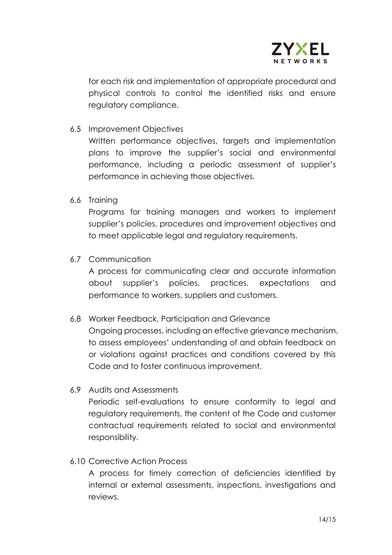

for each risk and implementation of appropriate procedural and physical controls to control the identified risks and ensure regulatory compliance.

6.5 Improvement Objectives

Written performance objectives, targets and implementation plans to improve the supplier's social and environmental performance, including a periodic assessment of supplier's performance in achieving those objectives.

6.6 Training

Programs for training managers and workers to implement supplier's policies, procedures and improvement objectives and to meet applicable legal and regulatory requirements.

6.7 Communication

A process for communicating clear and accurate information about supplier's policies, practices, expectations and performance to workers, suppliers and customers.

6.8 Worker Feedback, Participation and Grievance

Ongoing processes, including an effective grievance mechanism, to assess employees' understanding of and obtain feedback on or violations against practices and conditions covered by this Code and to foster continuous improvement.

6.9 Audits and Assessments

Periodic self-evaluations to ensure conformity to legal and regulatory requirements, the content of the Code and customer contractual requirements related to social and environmental responsibility.

6.10 Corrective Action Process

A process for timely correction of deficiencies identified by internal or external assessments, inspections, investigations and reviews.